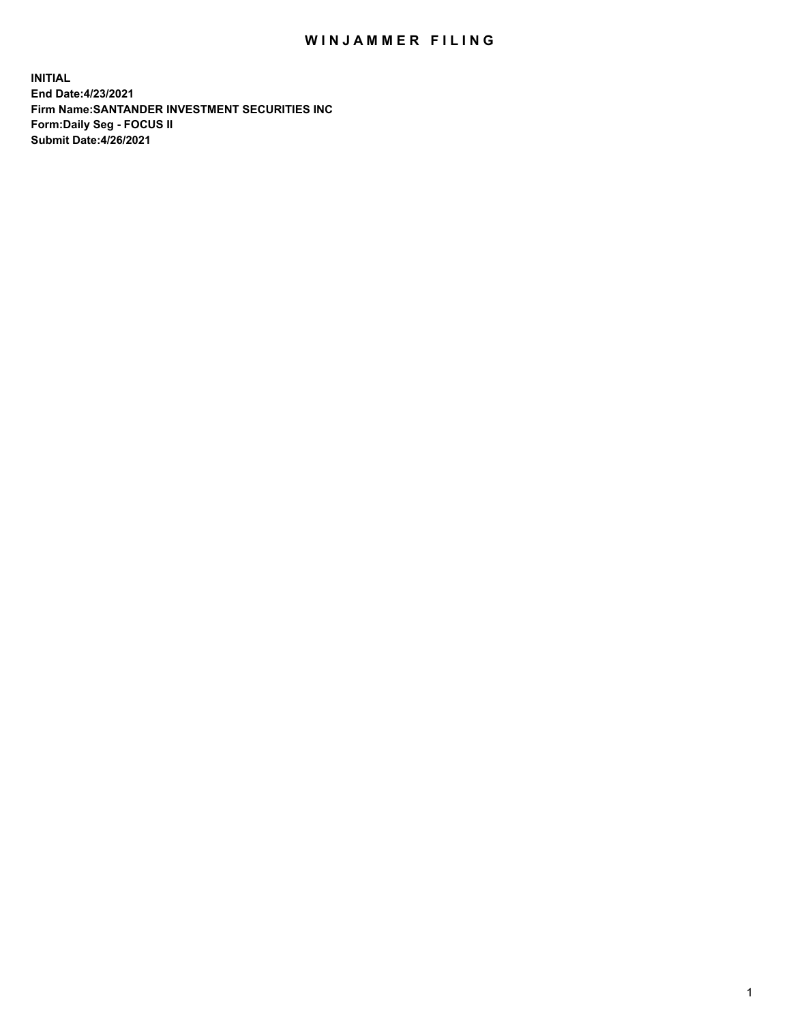## WIN JAMMER FILING

**INITIAL End Date:4/23/2021 Firm Name:SANTANDER INVESTMENT SECURITIES INC Form:Daily Seg - FOCUS II Submit Date:4/26/2021**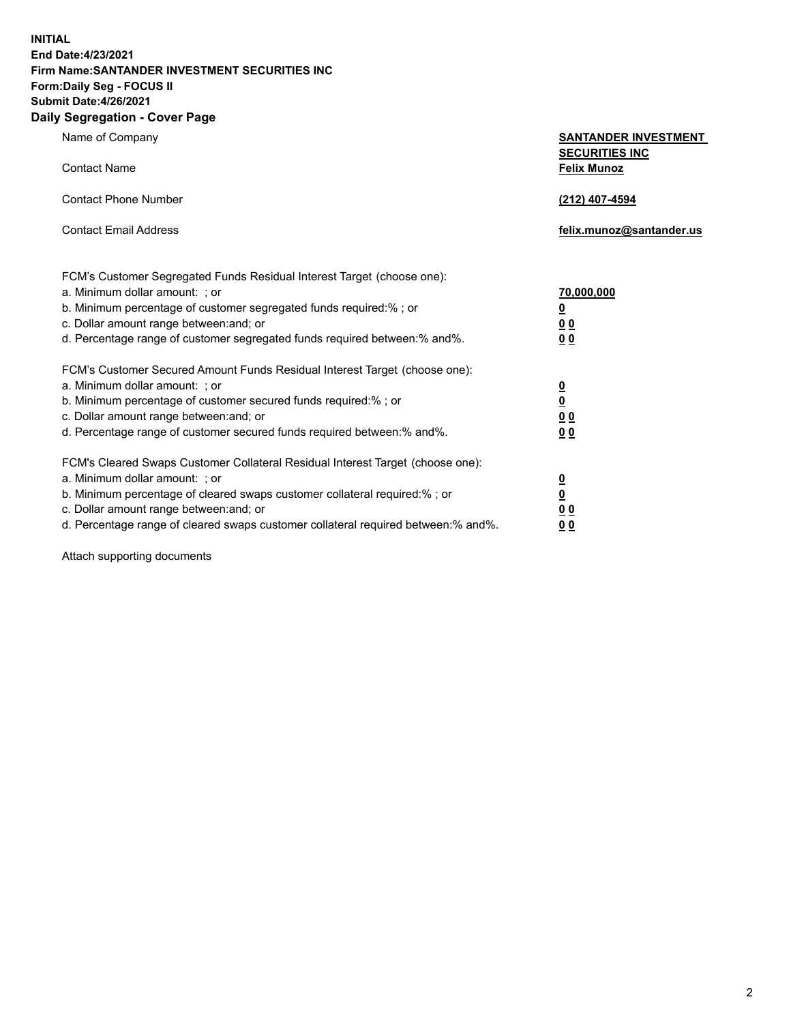**INITIAL End Date:4/23/2021 Firm Name:SANTANDER INVESTMENT SECURITIES INC Form:Daily Seg - FOCUS II Submit Date:4/26/2021 Daily Segregation - Cover Page**

| Name of Company                                                                   | <b>SANTANDER INVESTMENT</b><br><b>SECURITIES INC</b> |
|-----------------------------------------------------------------------------------|------------------------------------------------------|
| <b>Contact Name</b>                                                               | <b>Felix Munoz</b>                                   |
| <b>Contact Phone Number</b>                                                       | (212) 407-4594                                       |
| <b>Contact Email Address</b>                                                      | felix.munoz@santander.us                             |
| FCM's Customer Segregated Funds Residual Interest Target (choose one):            |                                                      |
| a. Minimum dollar amount: ; or                                                    | <u>70,000,000</u>                                    |
| b. Minimum percentage of customer segregated funds required:% ; or                | <u>0</u>                                             |
| c. Dollar amount range between: and; or                                           | 0 <sub>0</sub>                                       |
| d. Percentage range of customer segregated funds required between:% and%.         | 0 <sub>0</sub>                                       |
| FCM's Customer Secured Amount Funds Residual Interest Target (choose one):        |                                                      |
| a. Minimum dollar amount: ; or                                                    | $\overline{\mathbf{0}}$                              |
| b. Minimum percentage of customer secured funds required:%; or                    | $\underline{\mathbf{0}}$                             |
| c. Dollar amount range between: and; or                                           | 0 <sub>0</sub>                                       |
| d. Percentage range of customer secured funds required between:% and%.            | 0 <sub>0</sub>                                       |
| FCM's Cleared Swaps Customer Collateral Residual Interest Target (choose one):    |                                                      |
| a. Minimum dollar amount: ; or                                                    | $\overline{\mathbf{0}}$                              |
| b. Minimum percentage of cleared swaps customer collateral required:% ; or        | $\underline{\mathbf{0}}$                             |
| c. Dollar amount range between: and; or                                           | 0 <sub>0</sub>                                       |
| d. Percentage range of cleared swaps customer collateral required between:% and%. | 00                                                   |

Attach supporting documents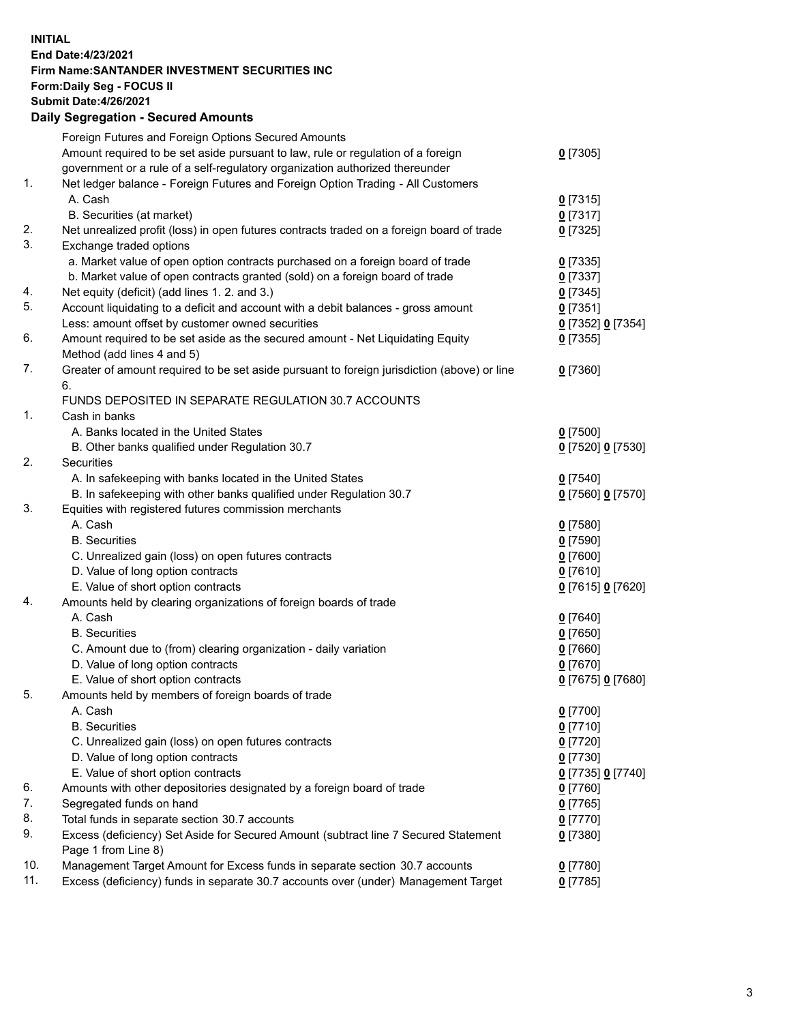## **INITIAL End Date:4/23/2021 Firm Name:SANTANDER INVESTMENT SECURITIES INC Form:Daily Seg - FOCUS II Submit Date:4/26/2021 Daily Segregation - Secured Amounts**

|     | Foreign Futures and Foreign Options Secured Amounts                                         |                   |
|-----|---------------------------------------------------------------------------------------------|-------------------|
|     | Amount required to be set aside pursuant to law, rule or regulation of a foreign            | $0$ [7305]        |
|     | government or a rule of a self-regulatory organization authorized thereunder                |                   |
| 1.  | Net ledger balance - Foreign Futures and Foreign Option Trading - All Customers             |                   |
|     | A. Cash                                                                                     | $0$ [7315]        |
|     | B. Securities (at market)                                                                   | $0$ [7317]        |
| 2.  | Net unrealized profit (loss) in open futures contracts traded on a foreign board of trade   | $0$ [7325]        |
| 3.  | Exchange traded options                                                                     |                   |
|     | a. Market value of open option contracts purchased on a foreign board of trade              | $0$ [7335]        |
|     | b. Market value of open contracts granted (sold) on a foreign board of trade                | $0$ [7337]        |
| 4.  | Net equity (deficit) (add lines 1. 2. and 3.)                                               | $0$ [7345]        |
| 5.  | Account liquidating to a deficit and account with a debit balances - gross amount           | $0$ [7351]        |
|     | Less: amount offset by customer owned securities                                            | 0 [7352] 0 [7354] |
| 6.  | Amount required to be set aside as the secured amount - Net Liquidating Equity              | $0$ [7355]        |
|     | Method (add lines 4 and 5)                                                                  |                   |
| 7.  | Greater of amount required to be set aside pursuant to foreign jurisdiction (above) or line | $0$ [7360]        |
|     | 6.                                                                                          |                   |
|     | FUNDS DEPOSITED IN SEPARATE REGULATION 30.7 ACCOUNTS                                        |                   |
| 1.  | Cash in banks                                                                               |                   |
|     | A. Banks located in the United States                                                       | $0$ [7500]        |
|     | B. Other banks qualified under Regulation 30.7                                              | 0 [7520] 0 [7530] |
| 2.  | Securities                                                                                  |                   |
|     | A. In safekeeping with banks located in the United States                                   | $0$ [7540]        |
|     | B. In safekeeping with other banks qualified under Regulation 30.7                          | 0 [7560] 0 [7570] |
| 3.  | Equities with registered futures commission merchants                                       |                   |
|     | A. Cash                                                                                     | $0$ [7580]        |
|     | <b>B.</b> Securities                                                                        | $0$ [7590]        |
|     | C. Unrealized gain (loss) on open futures contracts                                         | $0$ [7600]        |
|     | D. Value of long option contracts                                                           | $0$ [7610]        |
|     | E. Value of short option contracts                                                          | 0 [7615] 0 [7620] |
| 4.  | Amounts held by clearing organizations of foreign boards of trade                           |                   |
|     | A. Cash                                                                                     | $0$ [7640]        |
|     | <b>B.</b> Securities                                                                        | $0$ [7650]        |
|     | C. Amount due to (from) clearing organization - daily variation                             | $0$ [7660]        |
|     | D. Value of long option contracts                                                           | $0$ [7670]        |
|     | E. Value of short option contracts                                                          | 0 [7675] 0 [7680] |
| 5.  | Amounts held by members of foreign boards of trade                                          |                   |
|     | A. Cash                                                                                     | $0$ [7700]        |
|     | <b>B.</b> Securities                                                                        | $0$ [7710]        |
|     | C. Unrealized gain (loss) on open futures contracts                                         | $0$ [7720]        |
|     | D. Value of long option contracts                                                           | $0$ [7730]        |
|     | E. Value of short option contracts                                                          | 0 [7735] 0 [7740] |
| 6.  | Amounts with other depositories designated by a foreign board of trade                      | $0$ [7760]        |
| 7.  | Segregated funds on hand                                                                    | $0$ [7765]        |
| 8.  | Total funds in separate section 30.7 accounts                                               | $0$ [7770]        |
| 9.  | Excess (deficiency) Set Aside for Secured Amount (subtract line 7 Secured Statement         | $0$ [7380]        |
|     | Page 1 from Line 8)                                                                         |                   |
| 10. | Management Target Amount for Excess funds in separate section 30.7 accounts                 | $0$ [7780]        |
| 11. | Excess (deficiency) funds in separate 30.7 accounts over (under) Management Target          | $0$ [7785]        |
|     |                                                                                             |                   |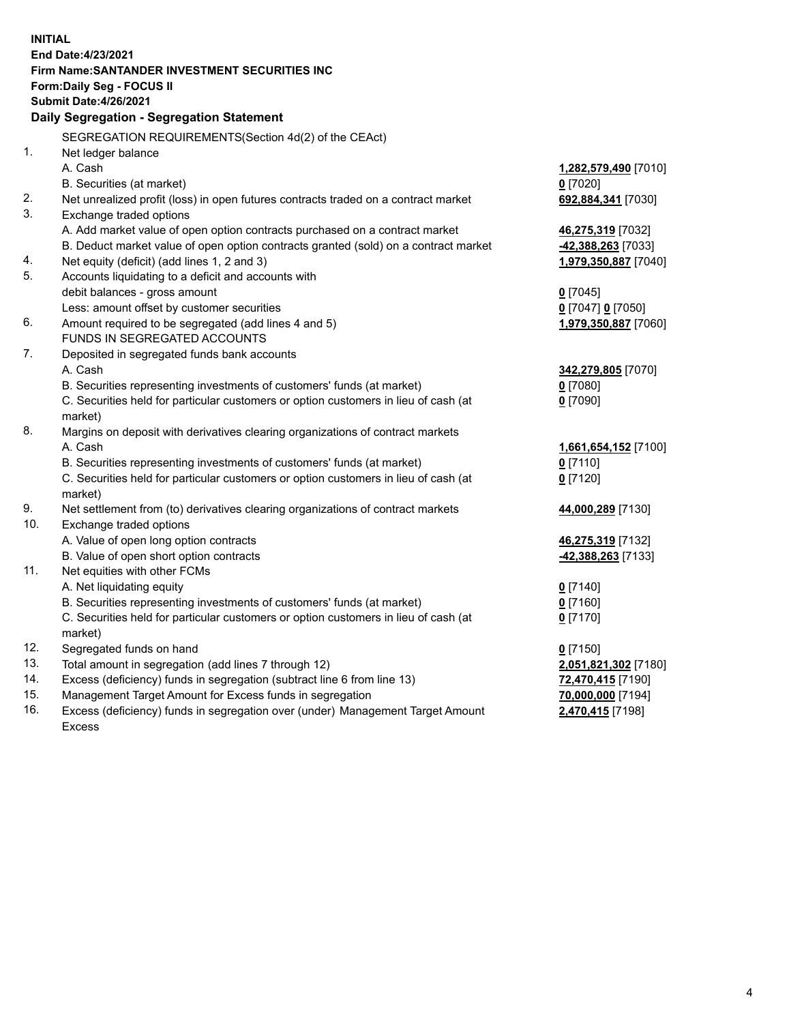| <b>INITIAL</b> |                                                                                     |                                       |  |  |  |  |
|----------------|-------------------------------------------------------------------------------------|---------------------------------------|--|--|--|--|
|                | End Date: 4/23/2021                                                                 |                                       |  |  |  |  |
|                | Firm Name: SANTANDER INVESTMENT SECURITIES INC                                      |                                       |  |  |  |  |
|                | <b>Form:Daily Seg - FOCUS II</b>                                                    |                                       |  |  |  |  |
|                | <b>Submit Date:4/26/2021</b>                                                        |                                       |  |  |  |  |
|                | Daily Segregation - Segregation Statement                                           |                                       |  |  |  |  |
|                | SEGREGATION REQUIREMENTS(Section 4d(2) of the CEAct)                                |                                       |  |  |  |  |
| 1.             | Net ledger balance                                                                  |                                       |  |  |  |  |
|                | A. Cash                                                                             | 1,282,579,490 [7010]                  |  |  |  |  |
|                | B. Securities (at market)                                                           | $0$ [7020]                            |  |  |  |  |
| 2.             | Net unrealized profit (loss) in open futures contracts traded on a contract market  | 692,884,341 [7030]                    |  |  |  |  |
| 3.             | Exchange traded options                                                             |                                       |  |  |  |  |
|                | A. Add market value of open option contracts purchased on a contract market         | 46,275,319 [7032]                     |  |  |  |  |
|                | B. Deduct market value of open option contracts granted (sold) on a contract market | -42,388,263 [7033]                    |  |  |  |  |
| 4.             | Net equity (deficit) (add lines 1, 2 and 3)                                         | 1,979,350,887 [7040]                  |  |  |  |  |
| 5.             | Accounts liquidating to a deficit and accounts with                                 |                                       |  |  |  |  |
|                | debit balances - gross amount                                                       | $0$ [7045]                            |  |  |  |  |
|                | Less: amount offset by customer securities                                          | 0 [7047] 0 [7050]                     |  |  |  |  |
| 6.             | Amount required to be segregated (add lines 4 and 5)                                | 1,979,350,887 [7060]                  |  |  |  |  |
|                | FUNDS IN SEGREGATED ACCOUNTS                                                        |                                       |  |  |  |  |
| 7.             | Deposited in segregated funds bank accounts                                         |                                       |  |  |  |  |
|                | A. Cash                                                                             | 342,279,805 [7070]                    |  |  |  |  |
|                | B. Securities representing investments of customers' funds (at market)              | $0$ [7080]                            |  |  |  |  |
|                | C. Securities held for particular customers or option customers in lieu of cash (at | $0$ [7090]                            |  |  |  |  |
|                | market)                                                                             |                                       |  |  |  |  |
| 8.             | Margins on deposit with derivatives clearing organizations of contract markets      |                                       |  |  |  |  |
|                | A. Cash                                                                             | 1,661,654,152 [7100]                  |  |  |  |  |
|                | B. Securities representing investments of customers' funds (at market)              | $0$ [7110]                            |  |  |  |  |
|                | C. Securities held for particular customers or option customers in lieu of cash (at | $0$ [7120]                            |  |  |  |  |
|                | market)                                                                             |                                       |  |  |  |  |
| 9.             | Net settlement from (to) derivatives clearing organizations of contract markets     | 44,000,289 [7130]                     |  |  |  |  |
| 10.            | Exchange traded options                                                             |                                       |  |  |  |  |
|                | A. Value of open long option contracts                                              | 46,275,319 [7132]                     |  |  |  |  |
|                | B. Value of open short option contracts                                             | -42,388,263 [7133]                    |  |  |  |  |
| 11.            | Net equities with other FCMs                                                        |                                       |  |  |  |  |
|                | A. Net liquidating equity                                                           | $0$ [7140]                            |  |  |  |  |
|                | B. Securities representing investments of customers' funds (at market)              | $0$ [7160]                            |  |  |  |  |
|                | C. Securities held for particular customers or option customers in lieu of cash (at | $0$ [7170]                            |  |  |  |  |
| 12.            | market)<br>Segregated funds on hand                                                 |                                       |  |  |  |  |
| 13.            | Total amount in segregation (add lines 7 through 12)                                | $0$ [7150]<br>2,051,821,302 [7180]    |  |  |  |  |
| 14.            | Excess (deficiency) funds in segregation (subtract line 6 from line 13)             |                                       |  |  |  |  |
| 15.            | Management Target Amount for Excess funds in segregation                            | 72,470,415 [7190]                     |  |  |  |  |
| 16.            | Excess (deficiency) funds in segregation over (under) Management Target Amount      | 70,000,000 [7194]<br>2,470,415 [7198] |  |  |  |  |
|                | <b>Excess</b>                                                                       |                                       |  |  |  |  |
|                |                                                                                     |                                       |  |  |  |  |